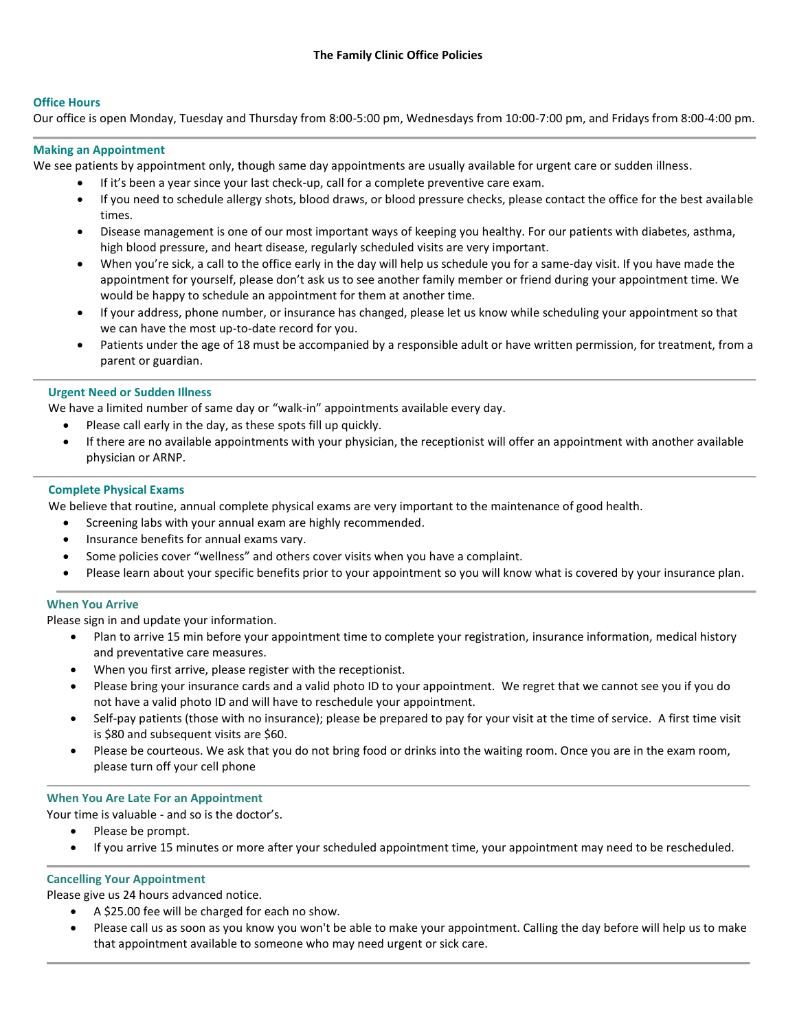## **Office Hours**

Our office is open Monday, Tuesday and Thursday from 8:00-5:00 pm, Wednesdays from 10:00-7:00 pm, and Fridays from 8:00-4:00 pm.

### **Making an Appointment**

We see patients by appointment only, though same day appointments are usually available for urgent care or sudden illness.

- If it's been a year since your last check-up, call for a complete preventive care exam.
- If you need to schedule allergy shots, blood draws, or blood pressure checks, please contact the office for the best available times.
- Disease management is one of our most important ways of keeping you healthy. For our patients with diabetes, asthma, high blood pressure, and heart disease, regularly scheduled visits are very important.
- When you're sick, a call to the office early in the day will help us schedule you for a same-day visit. If you have made the appointment for yourself, please don't ask us to see another family member or friend during your appointment time. We would be happy to schedule an appointment for them at another time.
- If your address, phone number, or insurance has changed, please let us know while scheduling your appointment so that we can have the most up-to-date record for you.
- Patients under the age of 18 must be accompanied by a responsible adult or have written permission, for treatment, from a parent or guardian.

## **Urgent Need or Sudden Illness**

We have a limited number of same day or "walk-in" appointments available every day.

- Please call early in the day, as these spots fill up quickly.
- If there are no available appointments with your physician, the receptionist will offer an appointment with another available physician or ARNP.

### **Complete Physical Exams**

We believe that routine, annual complete physical exams are very important to the maintenance of good health.

- Screening labs with your annual exam are highly recommended.
- Insurance benefits for annual exams vary.
- Some policies cover "wellness" and others cover visits when you have a complaint.
- Please learn about your specific benefits prior to your appointment so you will know what is covered by your insurance plan.

## **When You Arrive**

Please sign in and update your information.

- Plan to arrive 15 min before your appointment time to complete your registration, insurance information, medical history and preventative care measures.
- When you first arrive, please register with the receptionist.
- Please bring your insurance cards and a valid photo ID to your appointment. We regret that we cannot see you if you do not have a valid photo ID and will have to reschedule your appointment.
- Self-pay patients (those with no insurance); please be prepared to pay for your visit at the time of service. A first time visit is \$80 and subsequent visits are \$60.
- Please be courteous. We ask that you do not bring food or drinks into the waiting room. Once you are in the exam room, please turn off your cell phone

## **When You Are Late For an Appointment**

Your time is valuable - and so is the doctor's.

- Please be prompt.
- If you arrive 15 minutes or more after your scheduled appointment time, your appointment may need to be rescheduled.

## **Cancelling Your Appointment**

Please give us 24 hours advanced notice.

- A \$25.00 fee will be charged for each no show.
- Please call us as soon as you know you won't be able to make your appointment. Calling the day before will help us to make that appointment available to someone who may need urgent or sick care.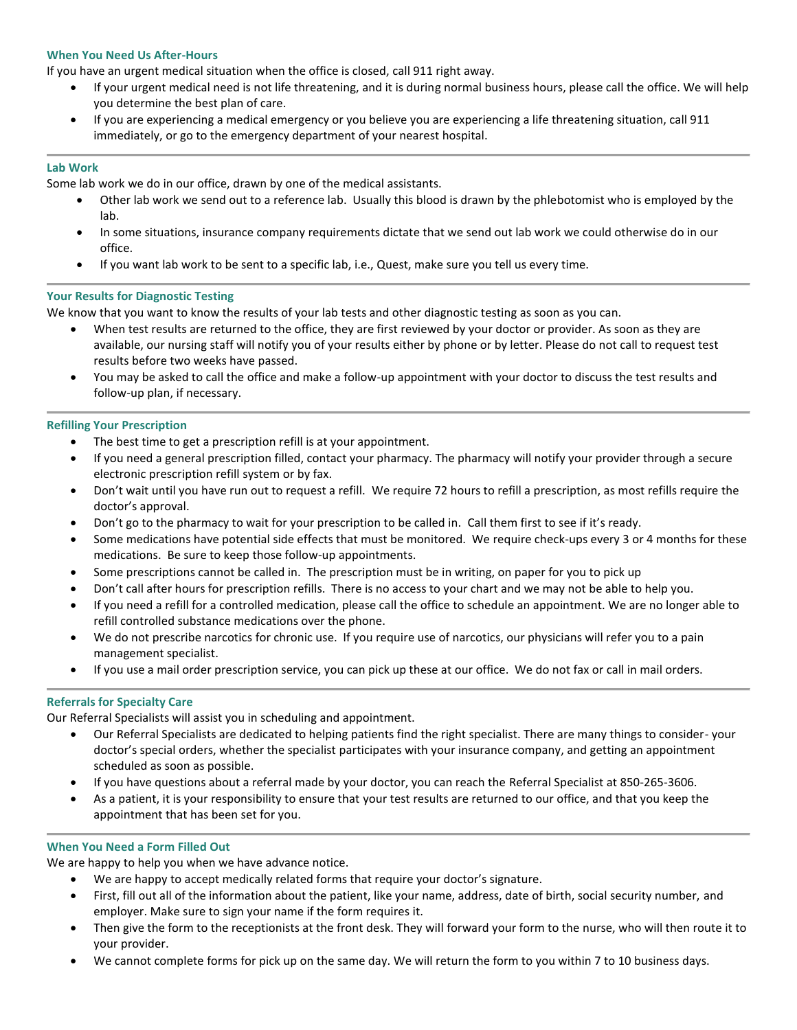### **When You Need Us After-Hours**

If you have an urgent medical situation when the office is closed, call 911 right away.

- If your urgent medical need is not life threatening, and it is during normal business hours, please call the office. We will help you determine the best plan of care.
- If you are experiencing a medical emergency or you believe you are experiencing a life threatening situation, call 911 immediately, or go to the emergency department of your nearest hospital.

#### **Lab Work**

Some lab work we do in our office, drawn by one of the medical assistants.

- Other lab work we send out to a reference lab. Usually this blood is drawn by the phlebotomist who is employed by the lab.
- In some situations, insurance company requirements dictate that we send out lab work we could otherwise do in our office.
- If you want lab work to be sent to a specific lab, i.e., Quest, make sure you tell us every time.

#### **Your Results for Diagnostic Testing**

We know that you want to know the results of your lab tests and other diagnostic testing as soon as you can.

- When test results are returned to the office, they are first reviewed by your doctor or provider. As soon as they are available, our nursing staff will notify you of your results either by phone or by letter. Please do not call to request test results before two weeks have passed.
- You may be asked to call the office and make a follow-up appointment with your doctor to discuss the test results and follow-up plan, if necessary.

### **Refilling Your Prescription**

- The best time to get a prescription refill is at your appointment.
- If you need a general prescription filled, contact your pharmacy. The pharmacy will notify your provider through a secure electronic prescription refill system or by fax.
- Don't wait until you have run out to request a refill. We require 72 hours to refill a prescription, as most refills require the doctor's approval.
- Don't go to the pharmacy to wait for your prescription to be called in. Call them first to see if it's ready.
- Some medications have potential side effects that must be monitored. We require check-ups every 3 or 4 months for these medications. Be sure to keep those follow-up appointments.
- Some prescriptions cannot be called in. The prescription must be in writing, on paper for you to pick up
- Don't call after hours for prescription refills. There is no access to your chart and we may not be able to help you.
- If you need a refill for a controlled medication, please call the office to schedule an appointment. We are no longer able to refill controlled substance medications over the phone.
- We do not prescribe narcotics for chronic use. If you require use of narcotics, our physicians will refer you to a pain management specialist.
- If you use a mail order prescription service, you can pick up these at our office. We do not fax or call in mail orders.

#### **Referrals for Specialty Care**

Our Referral Specialists will assist you in scheduling and appointment.

- Our Referral Specialists are dedicated to helping patients find the right specialist. There are many things to consider- your doctor's special orders, whether the specialist participates with your insurance company, and getting an appointment scheduled as soon as possible.
- If you have questions about a referral made by your doctor, you can reach the Referral Specialist at 850-265-3606.
- As a patient, it is your responsibility to ensure that your test results are returned to our office, and that you keep the appointment that has been set for you.

#### **When You Need a Form Filled Out**

We are happy to help you when we have advance notice.

- We are happy to accept medically related forms that require your doctor's signature.
- First, fill out all of the information about the patient, like your name, address, date of birth, social security number, and employer. Make sure to sign your name if the form requires it.
- Then give the form to the receptionists at the front desk. They will forward your form to the nurse, who will then route it to your provider.
- We cannot complete forms for pick up on the same day. We will return the form to you within 7 to 10 business days.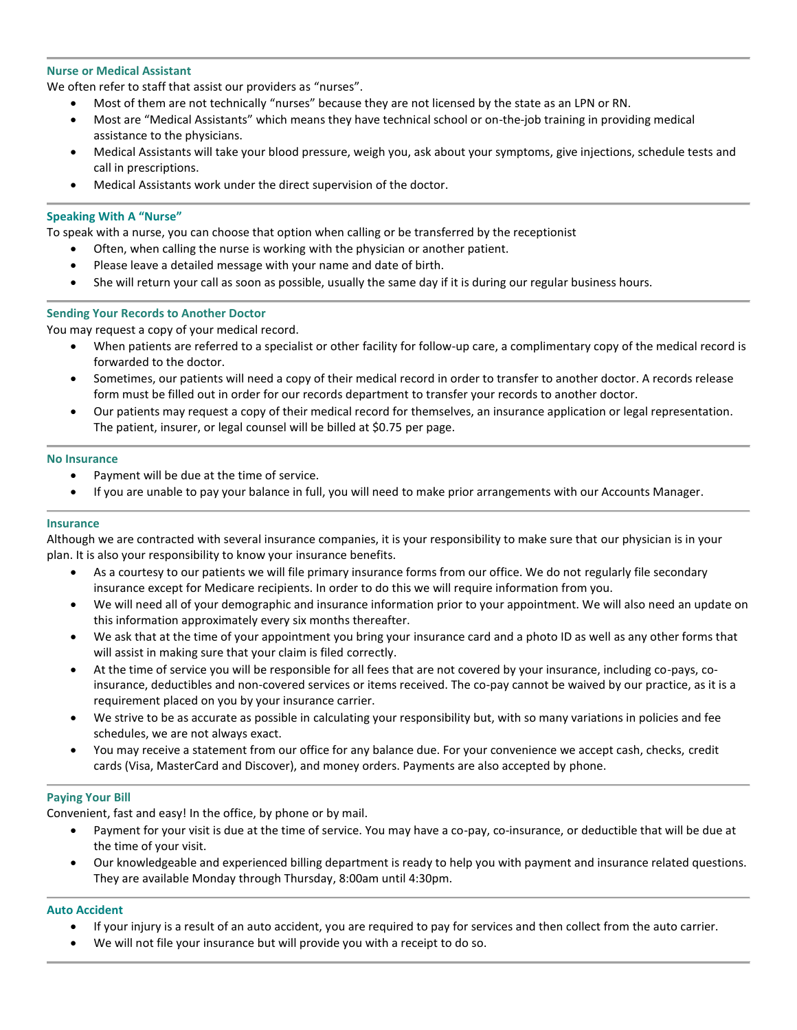### **Nurse or Medical Assistant**

We often refer to staff that assist our providers as "nurses".

- Most of them are not technically "nurses" because they are not licensed by the state as an LPN or RN.
- Most are "Medical Assistants" which means they have technical school or on-the-job training in providing medical assistance to the physicians.
- Medical Assistants will take your blood pressure, weigh you, ask about your symptoms, give injections, schedule tests and call in prescriptions.
- Medical Assistants work under the direct supervision of the doctor.

### **Speaking With A "Nurse"**

To speak with a nurse, you can choose that option when calling or be transferred by the receptionist

- Often, when calling the nurse is working with the physician or another patient.
- Please leave a detailed message with your name and date of birth.
- She will return your call as soon as possible, usually the same day if it is during our regular business hours.

### **Sending Your Records to Another Doctor**

You may request a copy of your medical record.

- When patients are referred to a specialist or other facility for follow-up care, a complimentary copy of the medical record is forwarded to the doctor.
- Sometimes, our patients will need a copy of their medical record in order to transfer to another doctor. A records release form must be filled out in order for our records department to transfer your records to another doctor.
- Our patients may request a copy of their medical record for themselves, an insurance application or legal representation. The patient, insurer, or legal counsel will be billed at \$0.75 per page.

#### **No Insurance**

- Payment will be due at the time of service.
- If you are unable to pay your balance in full, you will need to make prior arrangements with our Accounts Manager.

#### **Insurance**

Although we are contracted with several insurance companies, it is your responsibility to make sure that our physician is in your plan. It is also your responsibility to know your insurance benefits.

- As a courtesy to our patients we will file primary insurance forms from our office. We do not regularly file secondary insurance except for Medicare recipients. In order to do this we will require information from you.
- We will need all of your demographic and insurance information prior to your appointment. We will also need an update on this information approximately every six months thereafter.
- We ask that at the time of your appointment you bring your insurance card and a photo ID as well as any other forms that will assist in making sure that your claim is filed correctly.
- At the time of service you will be responsible for all fees that are not covered by your insurance, including co-pays, coinsurance, deductibles and non-covered services or items received. The co-pay cannot be waived by our practice, as it is a requirement placed on you by your insurance carrier.
- We strive to be as accurate as possible in calculating your responsibility but, with so many variations in policies and fee schedules, we are not always exact.
- You may receive a statement from our office for any balance due. For your convenience we accept cash, checks, credit cards (Visa, MasterCard and Discover), and money orders. Payments are also accepted by phone.

#### **Paying Your Bill**

Convenient, fast and easy! In the office, by phone or by mail.

- Payment for your visit is due at the time of service. You may have a co-pay, co-insurance, or deductible that will be due at the time of your visit.
- Our knowledgeable and experienced billing department is ready to help you with payment and insurance related questions. They are available Monday through Thursday, 8:00am until 4:30pm.

#### **Auto Accident**

- If your injury is a result of an auto accident, you are required to pay for services and then collect from the auto carrier.
- We will not file your insurance but will provide you with a receipt to do so.